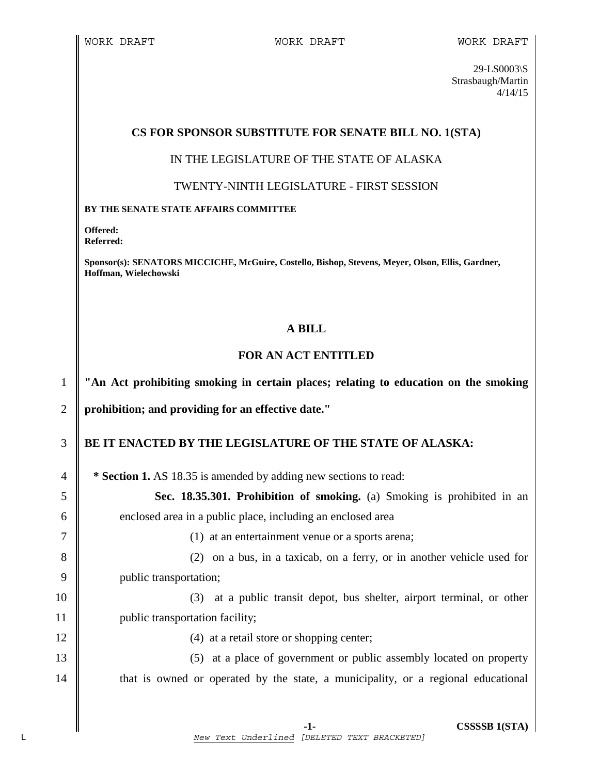29-LS0003\S Strasbaugh/Martin 4/14/15

# **CS FOR SPONSOR SUBSTITUTE FOR SENATE BILL NO. 1(STA)**

## IN THE LEGISLATURE OF THE STATE OF ALASKA

## TWENTY-NINTH LEGISLATURE - FIRST SESSION

#### **BY THE SENATE STATE AFFAIRS COMMITTEE**

**Offered: Referred:** 

**Sponsor(s): SENATORS MICCICHE, McGuire, Costello, Bishop, Stevens, Meyer, Olson, Ellis, Gardner, Hoffman, Wielechowski** 

## **A BILL**

# **FOR AN ACT ENTITLED**

1 **"An Act prohibiting smoking in certain places; relating to education on the smoking** 

2 **prohibition; and providing for an effective date."** 

# 3 **BE IT ENACTED BY THE LEGISLATURE OF THE STATE OF ALASKA:**

4 **\* Section 1.** AS 18.35 is amended by adding new sections to read:

5 **Sec. 18.35.301. Prohibition of smoking.** (a) Smoking is prohibited in an 6 enclosed area in a public place, including an enclosed area

7 (1) at an entertainment venue or a sports arena;

8 (2) on a bus, in a taxicab, on a ferry, or in another vehicle used for 9 **public transportation**;

10 (3) at a public transit depot, bus shelter, airport terminal, or other 11 | public transportation facility;

12 || (4) at a retail store or shopping center;

13 (5) at a place of government or public assembly located on property 14 that is owned or operated by the state, a municipality, or a regional educational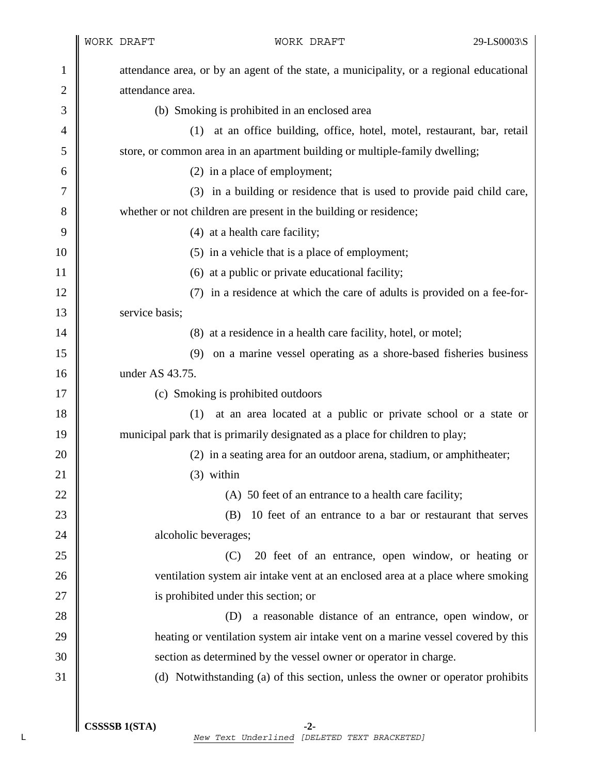|                |                  | WORK DRAFT                           | WORK DRAFT                                                                              | 29-LS0003\S |
|----------------|------------------|--------------------------------------|-----------------------------------------------------------------------------------------|-------------|
| 1              |                  |                                      | attendance area, or by an agent of the state, a municipality, or a regional educational |             |
| $\overline{2}$ | attendance area. |                                      |                                                                                         |             |
| 3              |                  |                                      | (b) Smoking is prohibited in an enclosed area                                           |             |
| 4              |                  |                                      | (1) at an office building, office, hotel, motel, restaurant, bar, retail                |             |
| 5              |                  |                                      | store, or common area in an apartment building or multiple-family dwelling;             |             |
| 6              |                  |                                      | (2) in a place of employment;                                                           |             |
| 7              |                  |                                      | (3) in a building or residence that is used to provide paid child care,                 |             |
| 8              |                  |                                      | whether or not children are present in the building or residence;                       |             |
| 9              |                  |                                      | (4) at a health care facility;                                                          |             |
| 10             |                  |                                      | (5) in a vehicle that is a place of employment;                                         |             |
| 11             |                  |                                      | (6) at a public or private educational facility;                                        |             |
| 12             |                  |                                      | (7) in a residence at which the care of adults is provided on a fee-for-                |             |
| 13             |                  | service basis;                       |                                                                                         |             |
| 14             |                  |                                      | (8) at a residence in a health care facility, hotel, or motel;                          |             |
| 15             |                  | (9)                                  | on a marine vessel operating as a shore-based fisheries business                        |             |
| 16             |                  | under AS 43.75.                      |                                                                                         |             |
| 17             |                  | (c) Smoking is prohibited outdoors   |                                                                                         |             |
| 18             |                  | (1)                                  | at an area located at a public or private school or a state or                          |             |
| 19             |                  |                                      | municipal park that is primarily designated as a place for children to play;            |             |
| 20             |                  |                                      | (2) in a seating area for an outdoor arena, stadium, or amphitheater;                   |             |
| 21             |                  | $(3)$ within                         |                                                                                         |             |
| 22             |                  |                                      | (A) 50 feet of an entrance to a health care facility;                                   |             |
| 23             |                  | (B)                                  | 10 feet of an entrance to a bar or restaurant that serves                               |             |
| 24             |                  | alcoholic beverages;                 |                                                                                         |             |
| 25             |                  | (C)                                  | 20 feet of an entrance, open window, or heating or                                      |             |
| 26             |                  |                                      | ventilation system air intake vent at an enclosed area at a place where smoking         |             |
| 27             |                  | is prohibited under this section; or |                                                                                         |             |
| 28             |                  | (D)                                  | a reasonable distance of an entrance, open window, or                                   |             |
| 29             |                  |                                      | heating or ventilation system air intake vent on a marine vessel covered by this        |             |
| 30             |                  |                                      | section as determined by the vessel owner or operator in charge.                        |             |
| 31             |                  |                                      | (d) Notwithstanding (a) of this section, unless the owner or operator prohibits         |             |
|                |                  |                                      |                                                                                         |             |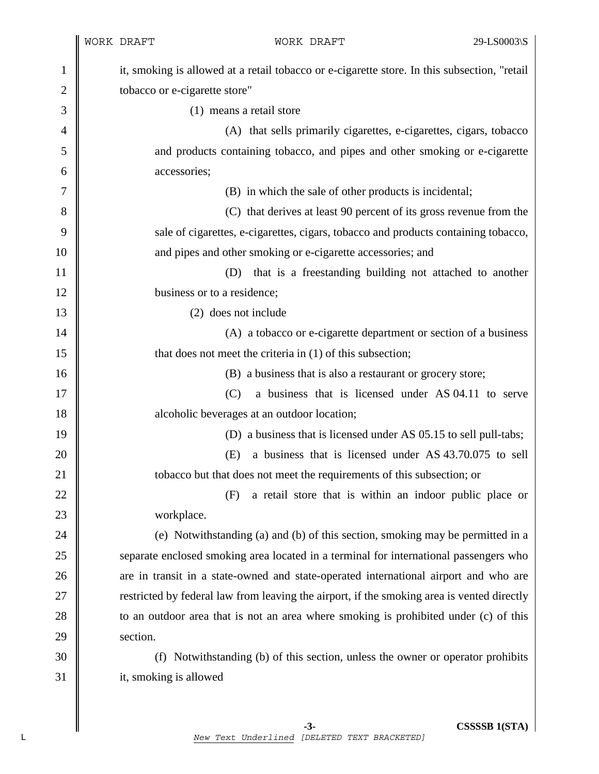|                |                               | WORK DRAFT<br>WORK DRAFT                                                                     | 29-LS0003\S |
|----------------|-------------------------------|----------------------------------------------------------------------------------------------|-------------|
| 1              |                               | it, smoking is allowed at a retail tobacco or e-cigarette store. In this subsection, "retail |             |
| $\overline{c}$ | tobacco or e-cigarette store" |                                                                                              |             |
| 3              |                               | (1) means a retail store                                                                     |             |
| $\overline{4}$ |                               | (A) that sells primarily cigarettes, e-cigarettes, cigars, tobacco                           |             |
| 5              |                               | and products containing tobacco, and pipes and other smoking or e-cigarette                  |             |
| 6              |                               | accessories;                                                                                 |             |
| 7              |                               | (B) in which the sale of other products is incidental;                                       |             |
| 8              |                               | (C) that derives at least 90 percent of its gross revenue from the                           |             |
| 9              |                               | sale of cigarettes, e-cigarettes, cigars, tobacco and products containing tobacco,           |             |
| 10             |                               | and pipes and other smoking or e-cigarette accessories; and                                  |             |
| 11             |                               | that is a freestanding building not attached to another<br>(D)                               |             |
| 12             |                               | business or to a residence;                                                                  |             |
| 13             |                               | (2) does not include                                                                         |             |
| 14             |                               | (A) a tobacco or e-cigarette department or section of a business                             |             |
| 15             |                               | that does not meet the criteria in (1) of this subsection;                                   |             |
| 16             |                               | (B) a business that is also a restaurant or grocery store;                                   |             |
| 17             |                               | a business that is licensed under AS 04.11 to serve<br>(C)                                   |             |
| 18             |                               | alcoholic beverages at an outdoor location;                                                  |             |
| 19             |                               | (D) a business that is licensed under AS 05.15 to sell pull-tabs;                            |             |
| 20             |                               | a business that is licensed under AS 43.70.075 to sell<br>(E)                                |             |
| 21             |                               | tobacco but that does not meet the requirements of this subsection; or                       |             |
| 22             |                               | a retail store that is within an indoor public place or<br>(F)                               |             |
| 23             |                               | workplace.                                                                                   |             |
| 24             |                               | (e) Notwithstanding (a) and (b) of this section, smoking may be permitted in a               |             |
| 25             |                               | separate enclosed smoking area located in a terminal for international passengers who        |             |
| 26             |                               | are in transit in a state-owned and state-operated international airport and who are         |             |
| 27             |                               | restricted by federal law from leaving the airport, if the smoking area is vented directly   |             |
| 28             |                               | to an outdoor area that is not an area where smoking is prohibited under (c) of this         |             |
| 29             |                               | section.                                                                                     |             |
| 30             |                               | Notwithstanding (b) of this section, unless the owner or operator prohibits<br>(f)           |             |
| 31             |                               | it, smoking is allowed                                                                       |             |
|                |                               |                                                                                              |             |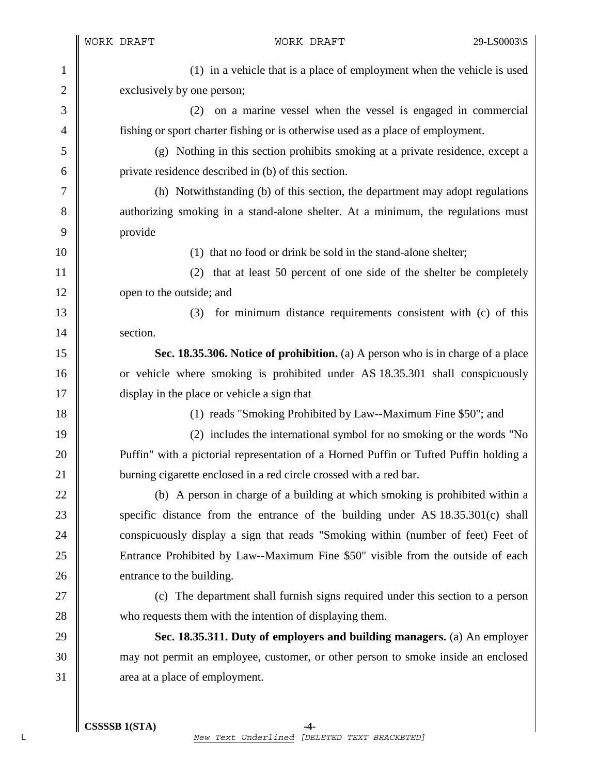WORK DRAFT WORK DRAFT 29-LS0003\S 1 (1) in a vehicle that is a place of employment when the vehicle is used 2 exclusively by one person; 3 (2) on a marine vessel when the vessel is engaged in commercial 4 fishing or sport charter fishing or is otherwise used as a place of employment. 5 (g) Nothing in this section prohibits smoking at a private residence, except a 6 private residence described in (b) of this section. 7 (h) Notwithstanding (b) of this section, the department may adopt regulations 8 authorizing smoking in a stand-alone shelter. At a minimum, the regulations must 9 provide 10 **10** (1) that no food or drink be sold in the stand-alone shelter; 11 || (2) that at least 50 percent of one side of the shelter be completely 12 open to the outside; and 13 (3) for minimum distance requirements consistent with (c) of this 14 section. 15 **Sec. 18.35.306. Notice of prohibition.** (a) A person who is in charge of a place 16 or vehicle where smoking is prohibited under AS 18.35.301 shall conspicuously 17 display in the place or vehicle a sign that 18 **(1)** reads "Smoking Prohibited by Law--Maximum Fine \$50"; and 19 (2) includes the international symbol for no smoking or the words "No 20 **Puffin** with a pictorial representation of a Horned Puffin or Tufted Puffin holding a 21 **burning cigarette enclosed in a red circle crossed with a red bar.** 22 (b) A person in charge of a building at which smoking is prohibited within a

23 specific distance from the entrance of the building under AS 18.35.301(c) shall 24 conspicuously display a sign that reads "Smoking within (number of feet) Feet of 25 Entrance Prohibited by Law--Maximum Fine \$50" visible from the outside of each 26 entrance to the building.

27 (c) The department shall furnish signs required under this section to a person 28 who requests them with the intention of displaying them.

29 **Sec. 18.35.311. Duty of employers and building managers.** (a) An employer 30 may not permit an employee, customer, or other person to smoke inside an enclosed 31 area at a place of employment.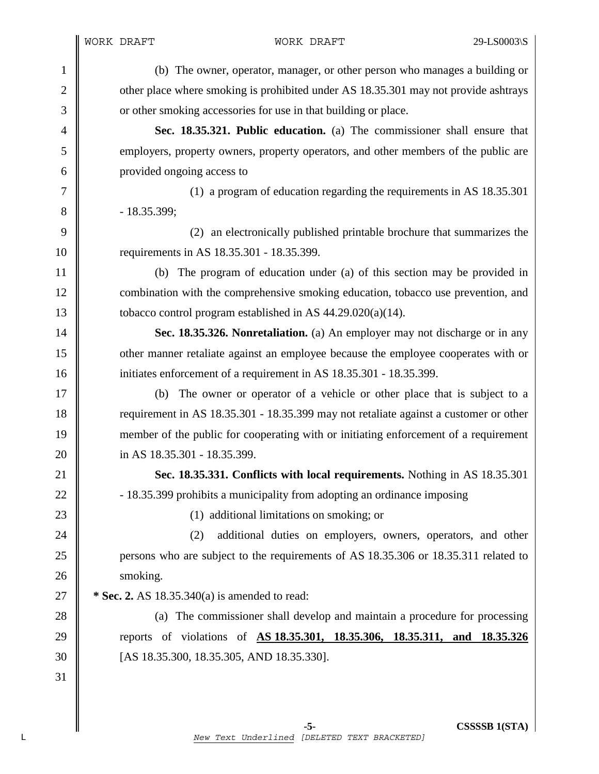1 (b) The owner, operator, manager, or other person who manages a building or 2 other place where smoking is prohibited under AS 18.35.301 may not provide ashtrays 3 or other smoking accessories for use in that building or place. 4 **Sec. 18.35.321. Public education.** (a) The commissioner shall ensure that 5 employers, property owners, property operators, and other members of the public are 6 provided ongoing access to 7 (1) a program of education regarding the requirements in AS 18.35.301  $8 \parallel$  - 18.35.399; 9 (2) an electronically published printable brochure that summarizes the 10 | requirements in AS 18.35.301 - 18.35.399. 11 (b) The program of education under (a) of this section may be provided in 12 combination with the comprehensive smoking education, tobacco use prevention, and 13 tobacco control program established in AS  $44.29.020(a)(14)$ . 14 **Sec. 18.35.326. Nonretaliation.** (a) An employer may not discharge or in any 15 other manner retaliate against an employee because the employee cooperates with or 16 **initiates enforcement of a requirement in AS 18.35.301 - 18.35.399.** 17 (b) The owner or operator of a vehicle or other place that is subject to a 18 consequirement in AS 18.35.301 - 18.35.399 may not retaliate against a customer or other 19 member of the public for cooperating with or initiating enforcement of a requirement 20 **i** in AS 18.35.301 - 18.35.399. 21 **Sec. 18.35.331. Conflicts with local requirements.** Nothing in AS 18.35.301 22  $\parallel$  - 18.35.399 prohibits a municipality from adopting an ordinance imposing 23 (1) additional limitations on smoking; or 24 **(2)** additional duties on employers, owners, operators, and other 25 ersons who are subject to the requirements of AS 18.35.306 or 18.35.311 related to 26 | smoking. 27 **\*** Sec. 2. AS 18.35.340(a) is amended to read: 28 (a) The commissioner shall develop and maintain a procedure for processing 29 reports of violations of **AS 18.35.301, 18.35.306, 18.35.311, and 18.35.326** 30 [AS 18.35.300, 18.35.305, AND 18.35.330]. 31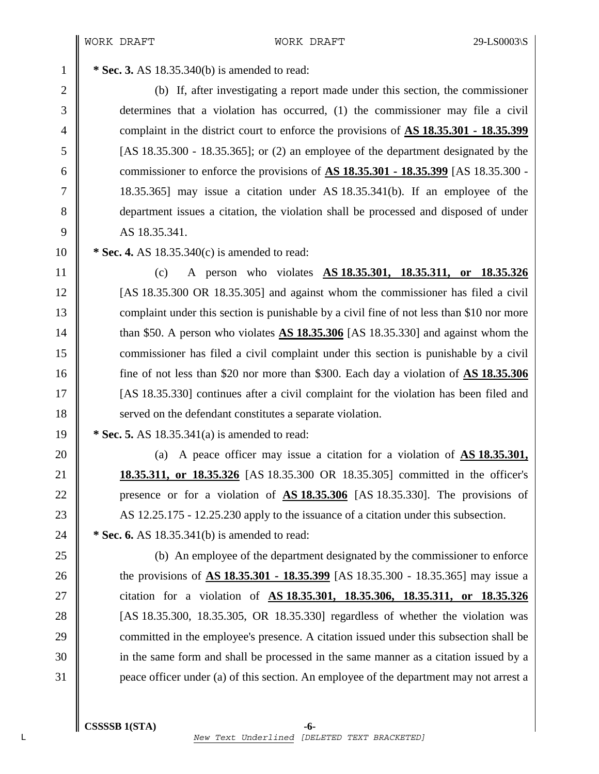1 **\* Sec. 3.** AS 18.35.340(b) is amended to read:

2 (b) If, after investigating a report made under this section, the commissioner 3 determines that a violation has occurred, (1) the commissioner may file a civil 4 complaint in the district court to enforce the provisions of **AS 18.35.301 - 18.35.399**  $5 \parallel$  [AS 18.35.300 - 18.35.365]; or (2) an employee of the department designated by the 6 commissioner to enforce the provisions of **AS 18.35.301 - 18.35.399** [AS 18.35.300 - 7 || 18.35.365] may issue a citation under AS 18.35.341(b). If an employee of the 8 department issues a citation, the violation shall be processed and disposed of under 9 AS 18.35.341.

10 **\* Sec. 4.** AS 18.35.340(c) is amended to read:

11 (c) A person who violates **AS 18.35.301, 18.35.311, or 18.35.326** 12 [AS 18.35.300 OR 18.35.305] and against whom the commissioner has filed a civil 13 complaint under this section is punishable by a civil fine of not less than \$10 nor more 14 **than \$50.** A person who violates **AS 18.35.306** [AS 18.35.330] and against whom the 15 commissioner has filed a civil complaint under this section is punishable by a civil 16 fine of not less than \$20 nor more than \$300. Each day a violation of **AS 18.35.306** 17 [AS 18.35.330] continues after a civil complaint for the violation has been filed and 18 **Solution** Served on the defendant constitutes a separate violation.

19 **\* Sec. 5.** AS 18.35.341(a) is amended to read:

20 (a) A peace officer may issue a citation for a violation of **AS 18.35.301**, 21 **18.35.311, or 18.35.326** [AS 18.35.300 OR 18.35.305] committed in the officer's 22 presence or for a violation of **AS 18.35.306** [AS 18.35.330]. The provisions of 23 AS 12.25.175 - 12.25.230 apply to the issuance of a citation under this subsection. 24 **\*** Sec. 6. AS 18.35.341(b) is amended to read:

25 (b) An employee of the department designated by the commissioner to enforce 26 the provisions of **AS 18.35.301 - 18.35.399** [AS 18.35.300 - 18.35.365] may issue a 27 citation for a violation of **AS 18.35.301, 18.35.306, 18.35.311, or 18.35.326** 28 | [AS 18.35.300, 18.35.305, OR 18.35.330] regardless of whether the violation was 29 committed in the employee's presence. A citation issued under this subsection shall be 30 in the same form and shall be processed in the same manner as a citation issued by a 31 peace officer under (a) of this section. An employee of the department may not arrest a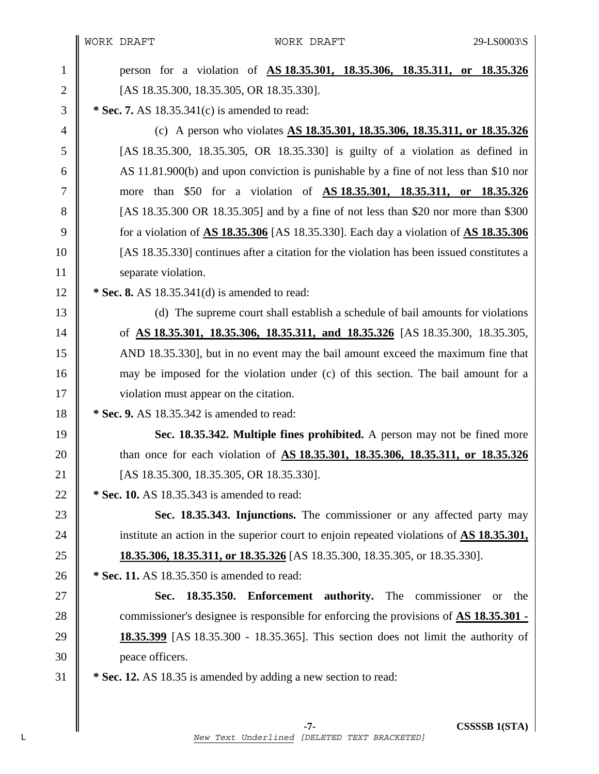$\parallel$ 

| $\mathbf{1}$   | person for a violation of <b>AS 18.35.301</b> , <b>18.35.306</b> , <b>18.35.311</b> , or <b>18.35.326</b>      |
|----------------|----------------------------------------------------------------------------------------------------------------|
| $\overline{2}$ | [AS 18.35.300, 18.35.305, OR 18.35.330].                                                                       |
| 3              | * Sec. 7. AS $18.35.341(c)$ is amended to read:                                                                |
| 4              | (c) A person who violates <b>AS 18.35.301, 18.35.306, 18.35.311, or 18.35.326</b>                              |
| 5              | [AS 18.35.300, 18.35.305, OR 18.35.330] is guilty of a violation as defined in                                 |
| 6              | AS 11.81.900(b) and upon conviction is punishable by a fine of not less than \$10 nor                          |
| $\overline{7}$ | more than \$50 for a violation of <u>AS 18.35.301, 18.35.311</u> , or 18.35.326                                |
| 8              | [AS 18.35.300 OR 18.35.305] and by a fine of not less than \$20 nor more than \$300                            |
| 9              | for a violation of $\overline{AS}$ 18.35.306 [AS 18.35.330]. Each day a violation of $\overline{AS}$ 18.35.306 |
| 10             | [AS 18.35.330] continues after a citation for the violation has been issued constitutes a                      |
| 11             | separate violation.                                                                                            |
| 12             | * Sec. 8. AS $18.35.341(d)$ is amended to read:                                                                |
| 13             | (d) The supreme court shall establish a schedule of bail amounts for violations                                |
| 14             | of <u>AS 18.35.301, 18.35.306, 18.35.311, and 18.35.326</u> [AS 18.35.300, 18.35.305,                          |
| 15             | AND 18.35.330], but in no event may the bail amount exceed the maximum fine that                               |
| 16             | may be imposed for the violation under (c) of this section. The bail amount for a                              |
| 17             | violation must appear on the citation.                                                                         |
| 18             | * Sec. 9. AS 18.35.342 is amended to read:                                                                     |
| 19             | Sec. 18.35.342. Multiple fines prohibited. A person may not be fined more                                      |
| 20             | than once for each violation of AS 18.35.301, 18.35.306, 18.35.311, or 18.35.326                               |
| 21             | [AS 18.35.300, 18.35.305, OR 18.35.330].                                                                       |
| 22             | * Sec. 10. AS 18.35.343 is amended to read:                                                                    |
| 23             | Sec. 18.35.343. Injunctions. The commissioner or any affected party may                                        |
| 24             | institute an action in the superior court to enjoin repeated violations of $\overline{AS}$ 18.35.301,          |
| 25             | <b>18.35.306, 18.35.311, or 18.35.326</b> [AS 18.35.300, 18.35.305, or 18.35.330].                             |
| 26             | * Sec. 11. AS 18.35.350 is amended to read:                                                                    |
| 27             | 18.35.350. Enforcement authority. The commissioner or<br>Sec.<br>the                                           |
| 28             | commissioner's designee is responsible for enforcing the provisions of <b>AS 18.35.301</b> -                   |
| 29             | <b>18.35.399</b> [AS 18.35.300 - 18.35.365]. This section does not limit the authority of                      |
| 30             | peace officers.                                                                                                |
| 31             | * Sec. 12. AS 18.35 is amended by adding a new section to read:                                                |
|                |                                                                                                                |
|                |                                                                                                                |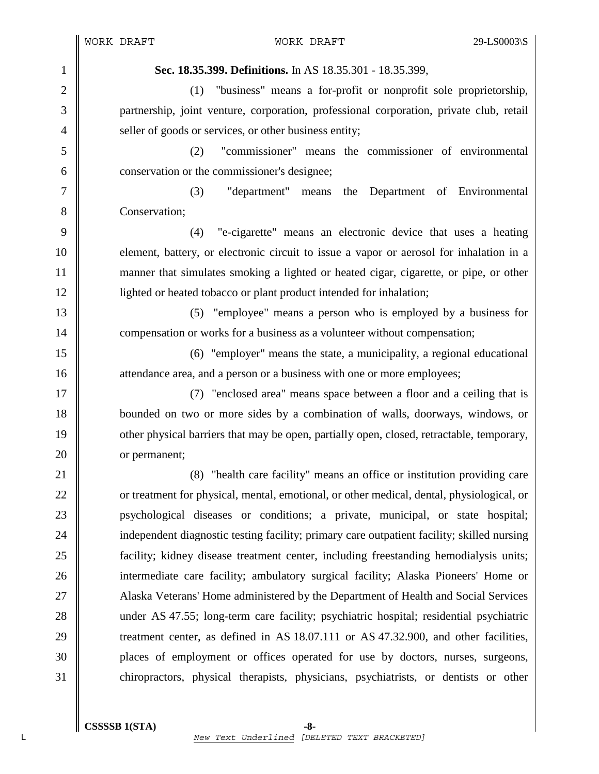1 **Sec. 18.35.399. Definitions.** In AS 18.35.301 - 18.35.399, 2 (1) "business" means a for-profit or nonprofit sole proprietorship, 3 partnership, joint venture, corporation, professional corporation, private club, retail 4 Seller of goods or services, or other business entity; 5 (2) "commissioner" means the commissioner of environmental 6 **conservation or the commissioner's designee;** 7 (3) "department" means the Department of Environmental 8 **Conservation:** 9 (4) "e-cigarette" means an electronic device that uses a heating 10 element, battery, or electronic circuit to issue a vapor or aerosol for inhalation in a 11 manner that simulates smoking a lighted or heated cigar, cigarette, or pipe, or other 12 | lighted or heated tobacco or plant product intended for inhalation; 13 (5) "employee" means a person who is employed by a business for 14 **compensation or works for a business as a volunteer without compensation;** 15 (6) "employer" means the state, a municipality, a regional educational 16 attendance area, and a person or a business with one or more employees; 17 || (7) "enclosed area" means space between a floor and a ceiling that is 18 bounded on two or more sides by a combination of walls, doorways, windows, or 19 other physical barriers that may be open, partially open, closed, retractable, temporary, 20 or permanent; 21 | (8) "health care facility" means an office or institution providing care 22 \| or treatment for physical, mental, emotional, or other medical, dental, physiological, or 23 psychological diseases or conditions; a private, municipal, or state hospital; 24 independent diagnostic testing facility; primary care outpatient facility; skilled nursing 25 **facility**; kidney disease treatment center, including freestanding hemodialysis units; 26 **intermediate care facility; ambulatory surgical facility; Alaska Pioneers' Home or** 27 Alaska Veterans' Home administered by the Department of Health and Social Services 28 under AS 47.55; long-term care facility; psychiatric hospital; residential psychiatric 29 Treatment center, as defined in AS 18.07.111 or AS 47.32.900, and other facilities, 30 places of employment or offices operated for use by doctors, nurses, surgeons,

31 chiropractors, physical therapists, physicians, psychiatrists, or dentists or other